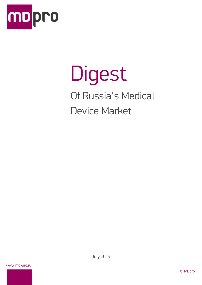

# Digest Of Russia's Medical Device Market

www.md-pro.ru

July 2015

© MDpro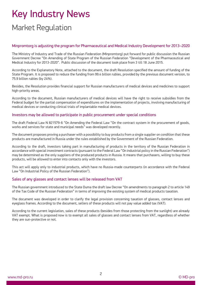## Key Industry News Market Regulation

#### Minpromtorg is adjusting the program for Pharmaceutical and Medical Industry Development for 2013–2020

The Ministry of Industry and Trade of the Russian Federation (Minpromtorg) put forward for public discussion the Russian Government Decree "On Amending of State Program of the Russian Federation "Development of the Pharmaceutical and Medical Industry for 2013-2020". Public discussion of the document took place from 3 till 18 June 2015.

According to the Explanatory Note, attached to the document, the draft Resolution specified the amount of funding of the State Program. It is proposed to reduce the funding from 99.4 billion rubles, provided by the previous document version, to 75.9 billion rubles (by 24%).

Besides, the Resolution provides financial support for Russian manufacturers of medical devices and medicines to support high-priority areas.

According to the document, Russian manufacturers of medical devices will have the right to receive subsidies from the Federal budget for the partial compensation of expenditures on the implementation of projects, involving manufacturing of medical devices or conducting clinical trials of implantable medical devices.

#### Investors may be allowed to participate in public procurement under special conditions

The draft Federal Law N 821579-6 "On Amending the Federal Law "On the contract system in the procurement of goods, works and services for state and municipal needs" was developed recently.

The document proposes proving a purchaser with a possibility to buy products from a single supplier on condition that these products are manufactured in Russia under the rules established by the Government of the Russian Federation.

According to the draft, investors taking part in manufacturing of products in the territory of the Russian Federation in accordance with special investment contracts (pursuant to the Federal Law "On industrial policy in the Russian Federation") may be determined as the only suppliers of the produced products in Russia. It means that purchasers, willing to buy these products, will be allowed to enter into contacts only with the investors.

This act will apply only to industrial products, which have no Russia-made counterparts (in accordance with the Federal Law "On Industrial Policy of the Russian Federation").

#### Sales of any glasses and contact lenses will be released from VAT

The Russian government introduced to the State Duma the draft law Decree "On amendments to paragraph 2 to article 149 of the Tax Code of the Russian Federation" in terms of improving the existing system of medical products taxation.

The document was developed in order to clarify the legal provision concerning taxation of glasses, contact lenses and eyeglass frames. According to the document, sellers of these products will not pay value added tax (VAT).

According to the current legislation, sales of these products (besides from those protecting from the sunlight) are already VAT exempt. What is proposed now is to exempt all sales of glasses and contact lenses from VAT, regardless of whether they are sun-protective or not.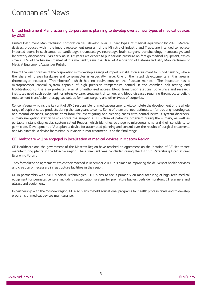## Companies' News

#### United Instrument Manufacturing Corporation is planning to develop over 30 new types of medical devices by 2020

United Instrument Manufacturing Corporation will develop over 30 new types of medical equipment by 2020. Medical devices, produced within the import replacement program of the Ministry of Industry and Trade, are intended to replace imported peers in such areas as cardiology, traumatology, neurology, brain surgery, transfusiology, hematology, and laboratory diagnostics. "As early as in 3-5 years we expect to put serious pressure on foreign medical equipment, which covers 80% of the Russian market at the moment", says the Head of Association of Defense Industry Manufacturers of Medical Equipment Alexander Kulish.

One of the key priorities of the corporation is to develop a range of import substitution equipment for blood banking, where the share of foreign hardware and consumables is especially large. One of the latest developments in this area is thrombocyte incubator "Thrombocyte", which has no equivalents on the Russian market. The incubator has a microprocessor control system capable of high precision temperature control in the chamber, self-testing and troubleshooting; it is also protected against unauthorized access. Blood transfusion stations, polyclinics and research institutes need such equipment for intensive care, treatment of tumors and blood diseases requiring thrombocyte deficit replacement transfusion therapy, as well as for heart surgery and other types of surgeries.

Concern Vega, which is the key unit of UIMC responsible for medical equipment, will complete the development of the whole range of sophisticated products during the two years to come. Some of them are: neurostimulator for treating neurological and mental diseases, magnetic stimulator for investigating and treating cases with central nervous system disorders, surgery navigation station which shows the surgeon a 3D picture of patient's organism during the surgery, as well as portable instant diagnostics system called Reader, which identifies pathogenic microorganisms and their sensitivity to germicides. Development of Autoplan, a device for automated planning and control over the results of surgical treatment, and Maloinvasia, a device for minimally invasive tumor treatment, is at the final stage.

#### GE Healthcare will be engaged in localization of medical devices in Moscow Region

GE Healthcare and the government of the Moscow Region have reached an agreement on the location of GE Healthcare manufacturing plants in the Moscow region. The agreement was concluded during the 19th St. Petersburg International Economic Forum.

They formalized an agreement, which they reached in December 2013. It is aimed at improving the delivery of health services and creation of necessary infrastructure facilities in the region.

GE in partnership with ZAO "Medical Technologies LTD" plans to focus primarily on manufacturing of high-tech medical equipment for perinatal centers, including resuscitation system for premature babies, bedside monitors, CT scanners and ultrasound equipment.

In partnership with the Moscow region, GE also plans to hold educational programs for health professionals and to develop programs of medical devices maintenance.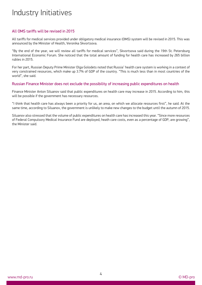## Industry Initiatives

#### All OMS tariffs will be revised in 2015

All tariffs for medical services provided under obligatory medical insurance (OMS) system will be revised in 2015. This was announced by the Minister of Health, Veronika Skvortsova.

"By the end of the year, we will review all tariffs for medical services", Skvortsova said during the 19th St. Petersburg International Economic Forum. She noticed that the total amount of funding for health care has increased by 265 billion rubles in 2015.

For her part, Russian Deputy Prime Minister Olga Golodets noted that Russia' health care system is working in a context of very constrained resources, which make up 3.7% of GDP of the country. "This is much less than in most countries of the world", she said.

#### Russian Finance Minister does not exclude the possibility of increasing public expenditures on health

Finance Minister Anton Siluanov said that public expenditures on health care may increase in 2015. According to him, this will be possible if the government has necessary resources.

"I think that health care has always been a priority for us, an area, on which we allocate resources first", he said. At the same time, according to Siluanov, the government is unlikely to make new changes to the budget until the autumn of 2015.

Siluanov also stressed that the volume of public expenditures on health care has increased this year. "Since more resources of Federal Compulsory Medical Insurance Fund are deployed, heath care costs, even as a percentage of GDP, are growing", the Minister said.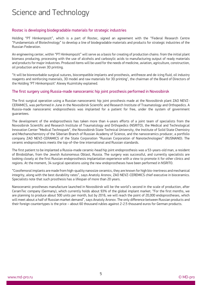## Science and Technology

#### Rostec is developing biodegradable materials for strategic industries

Holding "PT Himkompozit", which is a part of Rostec, signed an agreement with the "Federal Research Centre "Fundamentals of Biotechnology" to develop a line of biodegradable materials and products for strategic industries of the Russian Federation.

An engineering center, within "PT Himkompozit" will serve as a basis for creating of production chains: from the initial plant biomass producing, processing with the use of alcohols and carboxylic acids to manufacturing output of ready materials and products for major industries. Produced items will be used for the needs of medicine, aviation, agriculture, construction, oil production and even 3D printing.

"It will be bioresorbable surgical sutures, biocompatible implants and prosthesis, antifreeze and de-icing fluid, oil industry reagents and reinforcing materials, 3D model and raw materials for 3D printing", the chairman of the Board of Directors of the Holding "PT Himkompozit" Alexey Kuzmitsky explained.

#### The first surgery using Russia-made nanoceramic hip joint prosthesis performed in Novosibirsk

The first surgical operation using a Russian nanoceramic hip joint prosthesis made at the Novosibirsk plant ZAO NEVZ-CERAMICS, was performed in June in the Novosibirsk Scientific and Research Institute of Traumatology and Orthopedics. A Russia-made nanoceramic endoprosthesis was implanted for a patient for free, under the system of government guarantees.

The development of the endoprosthesis has taken more than 4-years efforts of a joint team of specialists from the Novosibirsk Scientific and Research Institute of Traumatology and Orthopedics (NSRITO), the Medical and Technological Innovation Center "Medical Technopark", the Novosibirsk State Technical University, the Institute of Solid State Chemistry and Mechanochemistry of the Siberian Branch of Russian Academy of Science, and the nanoceramics producer, a portfolio company ZAO NEVZ-CERAMICS of the State Corporation "Russian Corporation of Nanotechnologies" (RUSNANO). The ceramic endoprosthesis meets the top-of-the-line international and Russian standards.

The first patient to be implanted a Russia-made ceramic-head hip joint endoprosthesis was a 53-years-old man, a resident of Birobidzhan, from the Jewish Autonomous Oblast, Russia. The surgery was successful, and currently specialists are looking closely at the first Russian endoprosthesis implantation experience with a view to promote it for other clinics and regions. At the moment, 34 surgical operations using the new endoprostheses have been performed in NSRITO.

"Coxofemoral implants are made from high-quality nanosize ceramics, they are known for high bio-inertness and mechanical integrity, along with the best durability rates", says Anatoly Aronov, ZAO NEVZ-CEREMICS chief executive in bioceramics. Specialists note that such prosthesis has a lifespan of more than 20 years.

Nanoceramic prostheses manufacture launched in Novosibirsk will be the world's second in the scale of production, after CeramTec company (Germany), which currently holds about 93% of the global implant market. "For the first months, we are planning to produce about 500 units per month, but by 2016, we will reach the point of 20,000 endoprostheses, which will meet about a half of Russian market demand", says Anatoly Aronov. The only difference between Russian products and their foreign countertypes is the price – about 60 thousand rubles against 2-2.5 thousand euros for German products.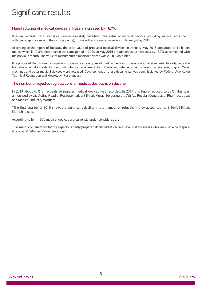## Significant results

#### Manufacturing of medical devices in Russia increased by 18.7%

Russian Federal State Statistics Service (Rosstat) calculated the value of medical devices (including surgical equipment, orthopedic appliances and their components), produced by Russian companies in January-May 2015.

According to the report of Rosstat, the total value of produced medical devices in January-May 2015 amounted to 11 billion rubles, which is 12.3% more than in the same period in 2014. In May 2015 production value increased by 18.7% as compared with the previous month. The value of manufactured medical devices was 2.2 billion rubles.

It is proposed that Russian companies producing certain types of medical devices focus on national standards. In early June the first drafts of standards for neurostimulators, equipment for lithotripsy, telemedicine conferencing systems, digital X-ray machines and other medical devices were released. Development of these documents was commissioned by Federal Agency on Technical Regulation and Metrology (Rosstandart).

#### The number of rejected registrations of medical devices is on decline

In 2013 about 47% of refusals to register medical devices was recorded. In 2014 this figure reduced to 30%. This was announced by the Acting Head of Roszdravnadzor Mikhail Murashko during the 7th All-Russian Congress of Pharmaceutical and Medical Industry Workers.

"The first quarter of 2015 showed a significant decline in the number of refusals – they accounted for 3-5%", Mikhail Murashko said.

According to him, 1500 medical devices are currently under consideration.

"The main problem faced by the experts is badly prepared documentation. We have lost engineers who knew how to prepare it properly", Mikhail Murashko added.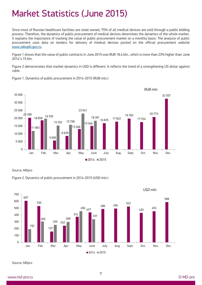## Market Statistics (June 2015)

Since most of Russian healthcare facilities are state owned, 75% of all medical devices are sold through a public bidding process. Therefore, the dynamics of public procurement of medical devices determines the dynamics of the whole market. It explains the importance of tracking the value of public procurement market on a monthly basis. The analysis of public procurement uses data on tenders for delivery of medical devices posted on the official procurement website [www.zakupki.gov.ru.](http://www.zakupki.gov.ru/)

Figure 1 shows that the value of public contracts in June 2015 was RUB 18.4 bln., which is more than 23% higher than June 2014's 15 bln.

Figure 2 demonstrates that market dynamics in USD is different. It reflects the trend of a strengthening US dollar against ruble.



Figure 1. Dynamics of public procurement in 2014-2015 (RUB mln.)

Source: MDpro

Figure 2. Dynamics of public procurement in 2014-2015 (USD mln.)



*USD mln.*

Source: MDpro